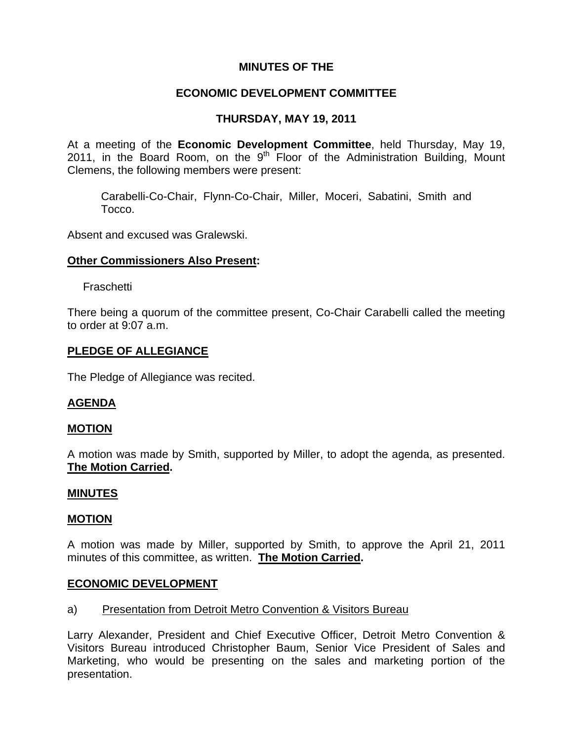### **MINUTES OF THE**

## **ECONOMIC DEVELOPMENT COMMITTEE**

## **THURSDAY, MAY 19, 2011**

At a meeting of the **Economic Development Committee**, held Thursday, May 19, 2011, in the Board Room, on the  $9<sup>th</sup>$  Floor of the Administration Building, Mount Clemens, the following members were present:

Carabelli-Co-Chair, Flynn-Co-Chair, Miller, Moceri, Sabatini, Smith and Tocco.

Absent and excused was Gralewski.

### **Other Commissioners Also Present:**

Fraschetti

There being a quorum of the committee present, Co-Chair Carabelli called the meeting to order at 9:07 a.m.

### **PLEDGE OF ALLEGIANCE**

The Pledge of Allegiance was recited.

### **AGENDA**

### **MOTION**

A motion was made by Smith, supported by Miller, to adopt the agenda, as presented. **The Motion Carried.** 

#### **MINUTES**

#### **MOTION**

A motion was made by Miller, supported by Smith, to approve the April 21, 2011 minutes of this committee, as written. **The Motion Carried.** 

#### **ECONOMIC DEVELOPMENT**

#### a) Presentation from Detroit Metro Convention & Visitors Bureau

Larry Alexander, President and Chief Executive Officer, Detroit Metro Convention & Visitors Bureau introduced Christopher Baum, Senior Vice President of Sales and Marketing, who would be presenting on the sales and marketing portion of the presentation.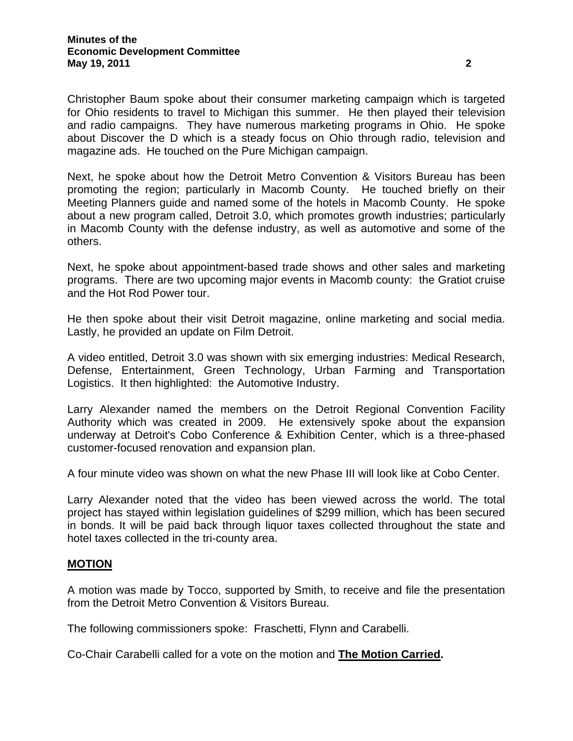Christopher Baum spoke about their consumer marketing campaign which is targeted for Ohio residents to travel to Michigan this summer. He then played their television and radio campaigns. They have numerous marketing programs in Ohio. He spoke about Discover the D which is a steady focus on Ohio through radio, television and magazine ads. He touched on the Pure Michigan campaign.

Next, he spoke about how the Detroit Metro Convention & Visitors Bureau has been promoting the region; particularly in Macomb County. He touched briefly on their Meeting Planners guide and named some of the hotels in Macomb County. He spoke about a new program called, Detroit 3.0, which promotes growth industries; particularly in Macomb County with the defense industry, as well as automotive and some of the others.

Next, he spoke about appointment-based trade shows and other sales and marketing programs. There are two upcoming major events in Macomb county: the Gratiot cruise and the Hot Rod Power tour.

He then spoke about their visit Detroit magazine, online marketing and social media. Lastly, he provided an update on Film Detroit.

A video entitled, Detroit 3.0 was shown with six emerging industries: Medical Research, Defense, Entertainment, Green Technology, Urban Farming and Transportation Logistics. It then highlighted: the Automotive Industry.

Larry Alexander named the members on the Detroit Regional Convention Facility Authority which was created in 2009. He extensively spoke about the expansion underway at Detroit's Cobo Conference & Exhibition Center, which is a three-phased customer-focused renovation and expansion plan.

A four minute video was shown on what the new Phase III will look like at Cobo Center.

Larry Alexander noted that the video has been viewed across the world. The total project has stayed within legislation guidelines of \$299 million, which has been secured in bonds. It will be paid back through liquor taxes collected throughout the state and hotel taxes collected in the tri-county area.

#### **MOTION**

A motion was made by Tocco, supported by Smith, to receive and file the presentation from the Detroit Metro Convention & Visitors Bureau.

The following commissioners spoke: Fraschetti, Flynn and Carabelli.

Co-Chair Carabelli called for a vote on the motion and **The Motion Carried.**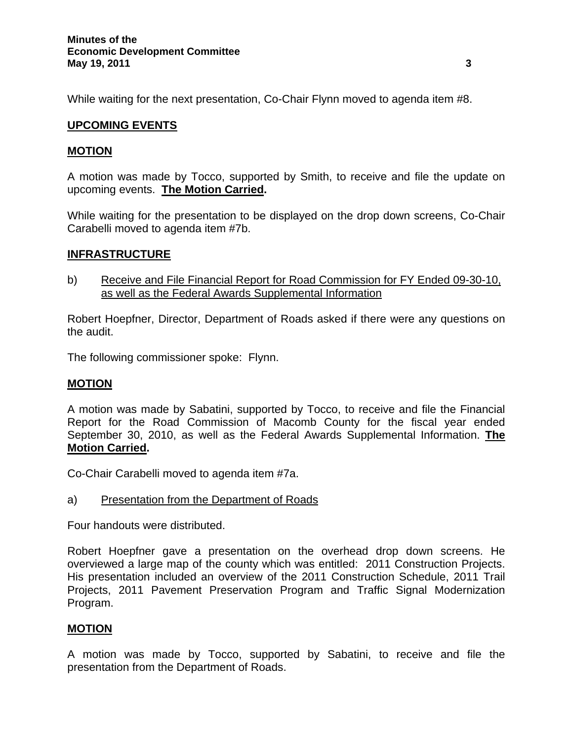While waiting for the next presentation, Co-Chair Flynn moved to agenda item #8.

# **UPCOMING EVENTS**

## **MOTION**

A motion was made by Tocco, supported by Smith, to receive and file the update on upcoming events. **The Motion Carried.** 

While waiting for the presentation to be displayed on the drop down screens, Co-Chair Carabelli moved to agenda item #7b.

### **INFRASTRUCTURE**

b) Receive and File Financial Report for Road Commission for FY Ended 09-30-10, as well as the Federal Awards Supplemental Information

Robert Hoepfner, Director, Department of Roads asked if there were any questions on the audit.

The following commissioner spoke: Flynn.

### **MOTION**

A motion was made by Sabatini, supported by Tocco, to receive and file the Financial Report for the Road Commission of Macomb County for the fiscal year ended September 30, 2010, as well as the Federal Awards Supplemental Information. **The Motion Carried.**

Co-Chair Carabelli moved to agenda item #7a.

a) Presentation from the Department of Roads

Four handouts were distributed.

Robert Hoepfner gave a presentation on the overhead drop down screens. He overviewed a large map of the county which was entitled: 2011 Construction Projects. His presentation included an overview of the 2011 Construction Schedule, 2011 Trail Projects, 2011 Pavement Preservation Program and Traffic Signal Modernization Program.

### **MOTION**

A motion was made by Tocco, supported by Sabatini, to receive and file the presentation from the Department of Roads.